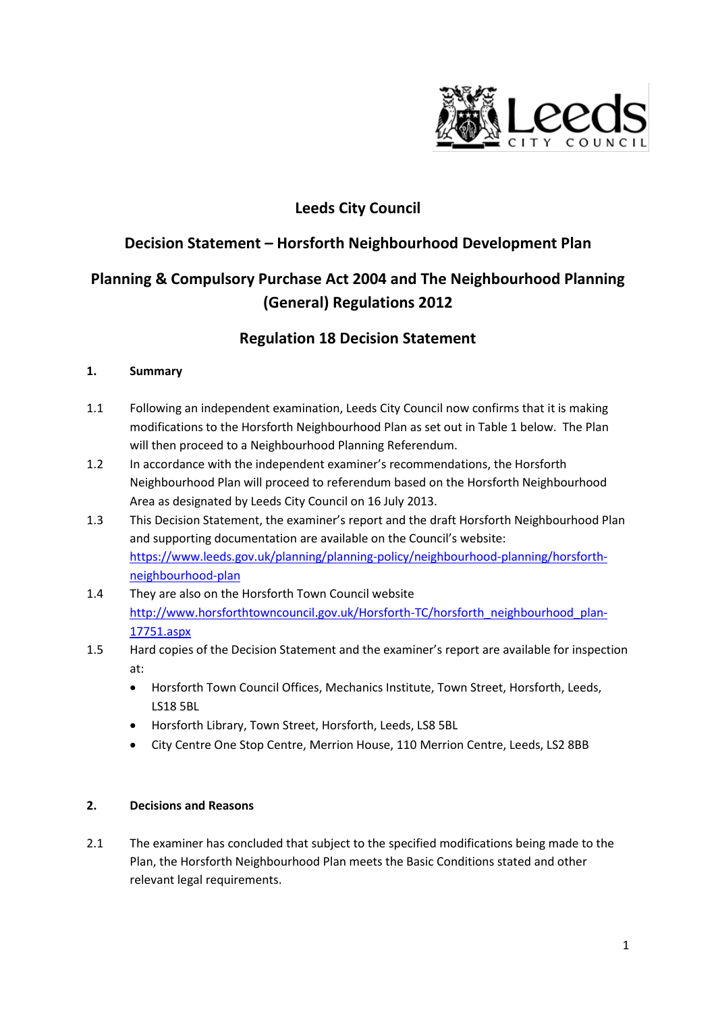

## **Leeds City Council**

### **Decision Statement – Horsforth Neighbourhood Development Plan**

# **Planning & Compulsory Purchase Act 2004 and The Neighbourhood Planning (General) Regulations 2012**

### **Regulation 18 Decision Statement**

### **1. Summary**

- 1.1 Following an independent examination, Leeds City Council now confirms that it is making modifications to the Horsforth Neighbourhood Plan as set out in Table 1 below. The Plan will then proceed to a Neighbourhood Planning Referendum.
- 1.2 In accordance with the independent examiner's recommendations, the Horsforth Neighbourhood Plan will proceed to referendum based on the Horsforth Neighbourhood Area as designated by Leeds City Council on 16 July 2013.
- 1.3 This Decision Statement, the examiner's report and the draft Horsforth Neighbourhood Plan and supporting documentation are available on the Council's website: [https://www.leeds.gov.uk/planning/planning-policy/neighbourhood-planning/horsforth](https://www.leeds.gov.uk/planning/planning-policy/neighbourhood-planning/horsforth-neighbourhood-plan)[neighbourhood-plan](https://www.leeds.gov.uk/planning/planning-policy/neighbourhood-planning/horsforth-neighbourhood-plan)
- 1.4 They are also on the Horsforth Town Council website [http://www.horsforthtowncouncil.gov.uk/Horsforth-TC/horsforth\\_neighbourhood\\_plan-](http://www.horsforthtowncouncil.gov.uk/Horsforth-TC/horsforth_neighbourhood_plan-17751.aspx)[17751.aspx](http://www.horsforthtowncouncil.gov.uk/Horsforth-TC/horsforth_neighbourhood_plan-17751.aspx)
- 1.5 Hard copies of the Decision Statement and the examiner's report are available for inspection at:
	- Horsforth Town Council Offices, Mechanics Institute, Town Street, Horsforth, Leeds, LS18 5BL
	- Horsforth Library, Town Street, Horsforth, Leeds, LS8 5BL
	- City Centre One Stop Centre, Merrion House, 110 Merrion Centre, Leeds, LS2 8BB

### **2. Decisions and Reasons**

2.1 The examiner has concluded that subject to the specified modifications being made to the Plan, the Horsforth Neighbourhood Plan meets the Basic Conditions stated and other relevant legal requirements.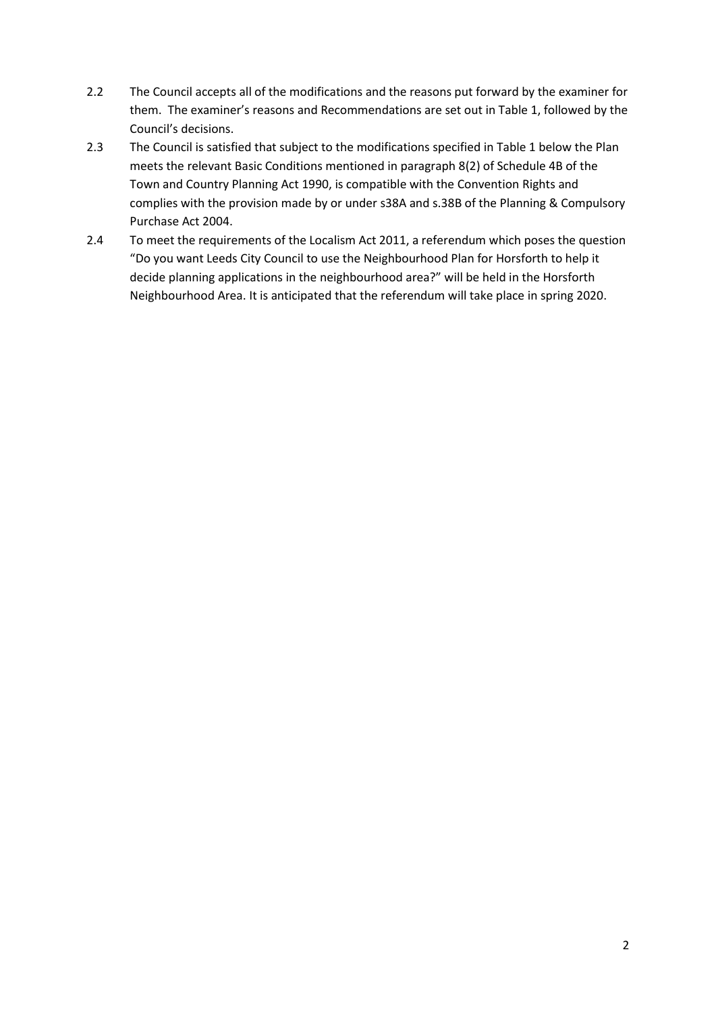- 2.2 The Council accepts all of the modifications and the reasons put forward by the examiner for them. The examiner's reasons and Recommendations are set out in Table 1, followed by the Council's decisions.
- 2.3 The Council is satisfied that subject to the modifications specified in Table 1 below the Plan meets the relevant Basic Conditions mentioned in paragraph 8(2) of Schedule 4B of the Town and Country Planning Act 1990, is compatible with the Convention Rights and complies with the provision made by or under s38A and s.38B of the Planning & Compulsory Purchase Act 2004.
- 2.4 To meet the requirements of the Localism Act 2011, a referendum which poses the question "Do you want Leeds City Council to use the Neighbourhood Plan for Horsforth to help it decide planning applications in the neighbourhood area?" will be held in the Horsforth Neighbourhood Area. It is anticipated that the referendum will take place in spring 2020.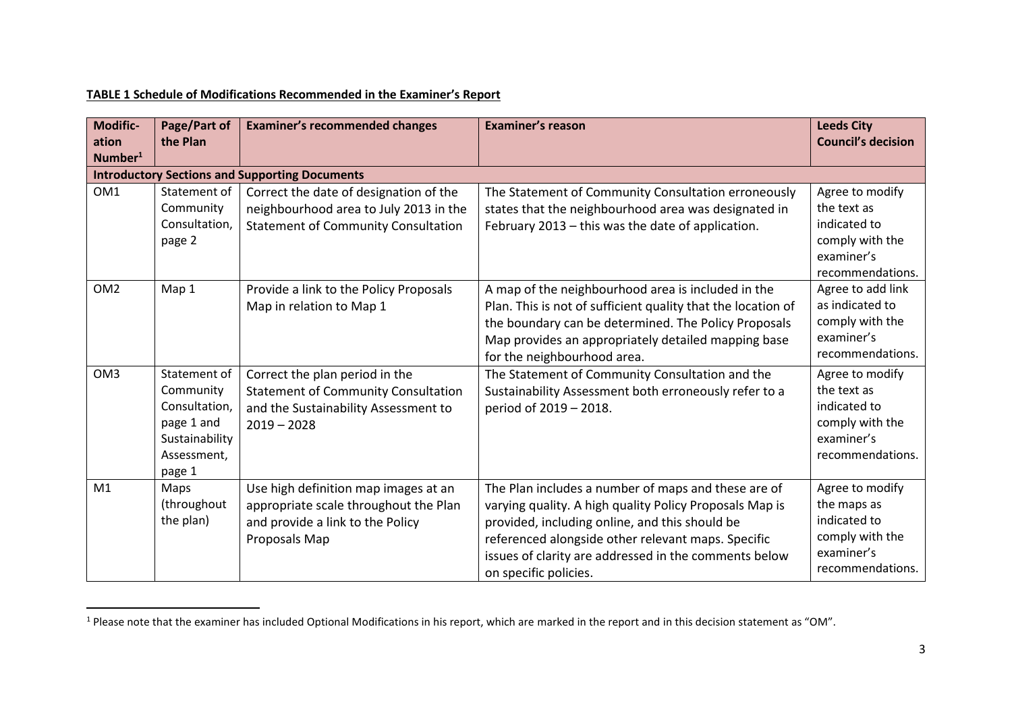#### **TABLE 1 Schedule of Modifications Recommended in the Examiner's Report**

 $\overline{\phantom{a}}$ 

| Modific-<br>ation<br>Number <sup>1</sup> | Page/Part of<br>the Plan                                                                            | <b>Examiner's recommended changes</b>                                                                                                 | <b>Examiner's reason</b>                                                                                                                                                                                                                                                                                 | <b>Leeds City</b><br><b>Council's decision</b>                                                      |
|------------------------------------------|-----------------------------------------------------------------------------------------------------|---------------------------------------------------------------------------------------------------------------------------------------|----------------------------------------------------------------------------------------------------------------------------------------------------------------------------------------------------------------------------------------------------------------------------------------------------------|-----------------------------------------------------------------------------------------------------|
|                                          |                                                                                                     | <b>Introductory Sections and Supporting Documents</b>                                                                                 |                                                                                                                                                                                                                                                                                                          |                                                                                                     |
| OM1                                      | Statement of<br>Community<br>Consultation,<br>page 2                                                | Correct the date of designation of the<br>neighbourhood area to July 2013 in the<br><b>Statement of Community Consultation</b>        | The Statement of Community Consultation erroneously<br>states that the neighbourhood area was designated in<br>February 2013 - this was the date of application.                                                                                                                                         | Agree to modify<br>the text as<br>indicated to<br>comply with the<br>examiner's<br>recommendations. |
| OM <sub>2</sub>                          | Map 1                                                                                               | Provide a link to the Policy Proposals<br>Map in relation to Map 1                                                                    | A map of the neighbourhood area is included in the<br>Plan. This is not of sufficient quality that the location of<br>the boundary can be determined. The Policy Proposals<br>Map provides an appropriately detailed mapping base<br>for the neighbourhood area.                                         | Agree to add link<br>as indicated to<br>comply with the<br>examiner's<br>recommendations.           |
| OM <sub>3</sub>                          | Statement of<br>Community<br>Consultation,<br>page 1 and<br>Sustainability<br>Assessment,<br>page 1 | Correct the plan period in the<br><b>Statement of Community Consultation</b><br>and the Sustainability Assessment to<br>$2019 - 2028$ | The Statement of Community Consultation and the<br>Sustainability Assessment both erroneously refer to a<br>period of 2019 - 2018.                                                                                                                                                                       | Agree to modify<br>the text as<br>indicated to<br>comply with the<br>examiner's<br>recommendations. |
| M <sub>1</sub>                           | Maps<br>(throughout<br>the plan)                                                                    | Use high definition map images at an<br>appropriate scale throughout the Plan<br>and provide a link to the Policy<br>Proposals Map    | The Plan includes a number of maps and these are of<br>varying quality. A high quality Policy Proposals Map is<br>provided, including online, and this should be<br>referenced alongside other relevant maps. Specific<br>issues of clarity are addressed in the comments below<br>on specific policies. | Agree to modify<br>the maps as<br>indicated to<br>comply with the<br>examiner's<br>recommendations. |

 $<sup>1</sup>$  Please note that the examiner has included Optional Modifications in his report, which are marked in the report and in this decision statement as "OM".</sup>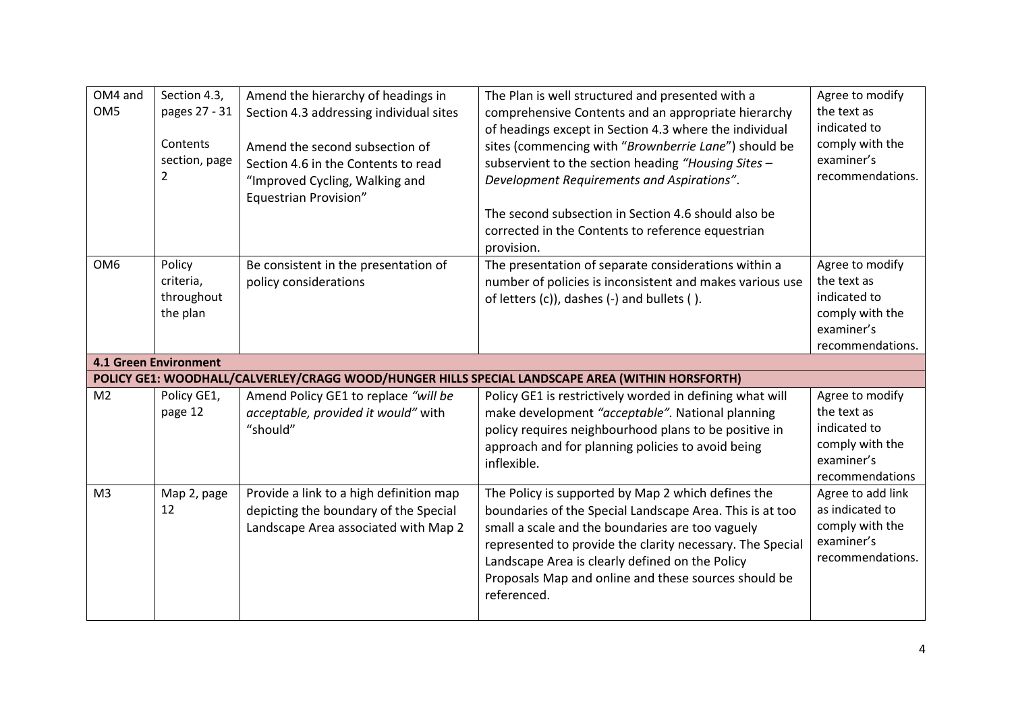| OM4 and<br>OM <sub>5</sub> | Section 4.3,<br>pages 27 - 31<br>Contents<br>section, page<br>2 | Amend the hierarchy of headings in<br>Section 4.3 addressing individual sites<br>Amend the second subsection of<br>Section 4.6 in the Contents to read<br>"Improved Cycling, Walking and<br>Equestrian Provision" | The Plan is well structured and presented with a<br>comprehensive Contents and an appropriate hierarchy<br>of headings except in Section 4.3 where the individual<br>sites (commencing with "Brownberrie Lane") should be<br>subservient to the section heading "Housing Sites -<br>Development Requirements and Aspirations".<br>The second subsection in Section 4.6 should also be<br>corrected in the Contents to reference equestrian<br>provision. | Agree to modify<br>the text as<br>indicated to<br>comply with the<br>examiner's<br>recommendations. |
|----------------------------|-----------------------------------------------------------------|-------------------------------------------------------------------------------------------------------------------------------------------------------------------------------------------------------------------|----------------------------------------------------------------------------------------------------------------------------------------------------------------------------------------------------------------------------------------------------------------------------------------------------------------------------------------------------------------------------------------------------------------------------------------------------------|-----------------------------------------------------------------------------------------------------|
| OM <sub>6</sub>            | Policy<br>criteria,<br>throughout<br>the plan                   | Be consistent in the presentation of<br>policy considerations                                                                                                                                                     | The presentation of separate considerations within a<br>number of policies is inconsistent and makes various use<br>of letters (c)), dashes (-) and bullets ().                                                                                                                                                                                                                                                                                          | Agree to modify<br>the text as<br>indicated to<br>comply with the<br>examiner's<br>recommendations. |
|                            | <b>4.1 Green Environment</b>                                    |                                                                                                                                                                                                                   |                                                                                                                                                                                                                                                                                                                                                                                                                                                          |                                                                                                     |
|                            |                                                                 |                                                                                                                                                                                                                   | POLICY GE1: WOODHALL/CALVERLEY/CRAGG WOOD/HUNGER HILLS SPECIAL LANDSCAPE AREA (WITHIN HORSFORTH)                                                                                                                                                                                                                                                                                                                                                         |                                                                                                     |
| M <sub>2</sub>             | Policy GE1,<br>page 12                                          | Amend Policy GE1 to replace "will be<br>acceptable, provided it would" with<br>"should"                                                                                                                           | Policy GE1 is restrictively worded in defining what will<br>make development "acceptable". National planning<br>policy requires neighbourhood plans to be positive in<br>approach and for planning policies to avoid being<br>inflexible.                                                                                                                                                                                                                | Agree to modify<br>the text as<br>indicated to<br>comply with the<br>examiner's<br>recommendations  |
| M <sub>3</sub>             | Map 2, page<br>12                                               | Provide a link to a high definition map<br>depicting the boundary of the Special                                                                                                                                  | The Policy is supported by Map 2 which defines the<br>boundaries of the Special Landscape Area. This is at too                                                                                                                                                                                                                                                                                                                                           | Agree to add link                                                                                   |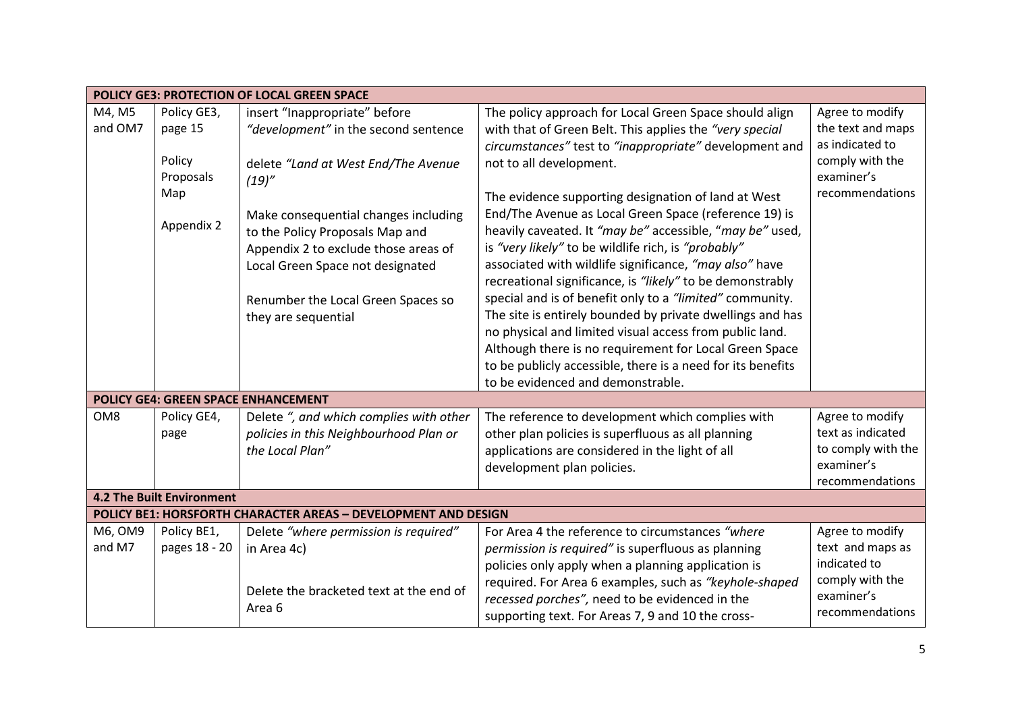| POLICY GE3: PROTECTION OF LOCAL GREEN SPACE |                                  |                                                                |                                                             |                    |  |
|---------------------------------------------|----------------------------------|----------------------------------------------------------------|-------------------------------------------------------------|--------------------|--|
| M4, M5                                      | Policy GE3,                      | insert "Inappropriate" before                                  | The policy approach for Local Green Space should align      | Agree to modify    |  |
| and OM7                                     | page 15                          | "development" in the second sentence                           | with that of Green Belt. This applies the "very special     | the text and maps  |  |
|                                             |                                  |                                                                | circumstances" test to "inappropriate" development and      | as indicated to    |  |
|                                             | Policy                           | delete "Land at West End/The Avenue                            | not to all development.                                     | comply with the    |  |
|                                             | Proposals                        | (19)''                                                         |                                                             | examiner's         |  |
|                                             | Map                              |                                                                | The evidence supporting designation of land at West         | recommendations    |  |
|                                             |                                  | Make consequential changes including                           | End/The Avenue as Local Green Space (reference 19) is       |                    |  |
|                                             | Appendix 2                       | to the Policy Proposals Map and                                | heavily caveated. It "may be" accessible, "may be" used,    |                    |  |
|                                             |                                  | Appendix 2 to exclude those areas of                           | is "very likely" to be wildlife rich, is "probably"         |                    |  |
|                                             |                                  | Local Green Space not designated                               | associated with wildlife significance, "may also" have      |                    |  |
|                                             |                                  |                                                                | recreational significance, is "likely" to be demonstrably   |                    |  |
|                                             |                                  | Renumber the Local Green Spaces so                             | special and is of benefit only to a "limited" community.    |                    |  |
|                                             |                                  | they are sequential                                            | The site is entirely bounded by private dwellings and has   |                    |  |
|                                             |                                  |                                                                | no physical and limited visual access from public land.     |                    |  |
|                                             |                                  |                                                                | Although there is no requirement for Local Green Space      |                    |  |
|                                             |                                  |                                                                | to be publicly accessible, there is a need for its benefits |                    |  |
|                                             |                                  |                                                                | to be evidenced and demonstrable.                           |                    |  |
|                                             |                                  | POLICY GE4: GREEN SPACE ENHANCEMENT                            |                                                             |                    |  |
| OM8                                         | Policy GE4,                      | Delete ", and which complies with other                        | The reference to development which complies with            | Agree to modify    |  |
|                                             | page                             | policies in this Neighbourhood Plan or                         | other plan policies is superfluous as all planning          | text as indicated  |  |
|                                             |                                  | the Local Plan"                                                | applications are considered in the light of all             | to comply with the |  |
|                                             |                                  |                                                                | development plan policies.                                  | examiner's         |  |
|                                             |                                  |                                                                |                                                             | recommendations    |  |
|                                             | <b>4.2 The Built Environment</b> |                                                                |                                                             |                    |  |
|                                             |                                  | POLICY BE1: HORSFORTH CHARACTER AREAS - DEVELOPMENT AND DESIGN |                                                             |                    |  |
| M6, OM9                                     | Policy BE1,                      | Delete "where permission is required"                          | For Area 4 the reference to circumstances "where            | Agree to modify    |  |
| and M7                                      | pages 18 - 20                    | in Area 4c)                                                    | permission is required" is superfluous as planning          | text and maps as   |  |
|                                             |                                  |                                                                | policies only apply when a planning application is          | indicated to       |  |
|                                             |                                  | Delete the bracketed text at the end of                        | required. For Area 6 examples, such as "keyhole-shaped      | comply with the    |  |
|                                             |                                  |                                                                | recessed porches", need to be evidenced in the              | examiner's         |  |
|                                             |                                  | Area 6                                                         | supporting text. For Areas 7, 9 and 10 the cross-           | recommendations    |  |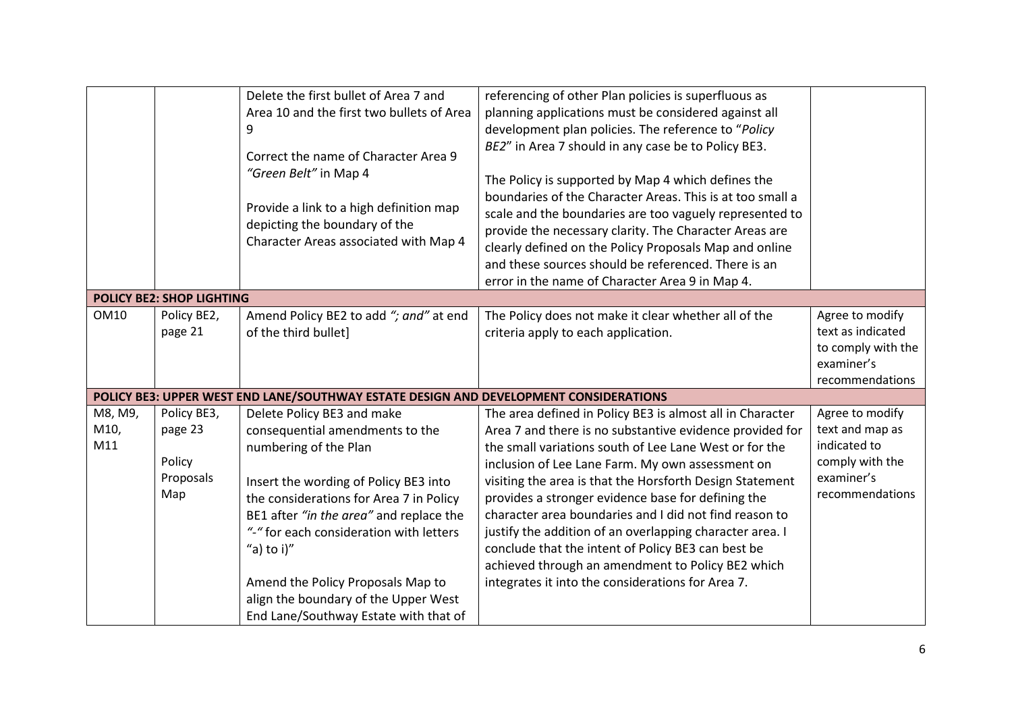|                        |                                                      | Delete the first bullet of Area 7 and<br>Area 10 and the first two bullets of Area<br>9<br>Correct the name of Character Area 9<br>"Green Belt" in Map 4<br>Provide a link to a high definition map<br>depicting the boundary of the<br>Character Areas associated with Map 4                                                                                  | referencing of other Plan policies is superfluous as<br>planning applications must be considered against all<br>development plan policies. The reference to "Policy<br>BE2" in Area 7 should in any case be to Policy BE3.<br>The Policy is supported by Map 4 which defines the<br>boundaries of the Character Areas. This is at too small a<br>scale and the boundaries are too vaguely represented to<br>provide the necessary clarity. The Character Areas are<br>clearly defined on the Policy Proposals Map and online<br>and these sources should be referenced. There is an<br>error in the name of Character Area 9 in Map 4.      |                                                                                                        |
|------------------------|------------------------------------------------------|----------------------------------------------------------------------------------------------------------------------------------------------------------------------------------------------------------------------------------------------------------------------------------------------------------------------------------------------------------------|---------------------------------------------------------------------------------------------------------------------------------------------------------------------------------------------------------------------------------------------------------------------------------------------------------------------------------------------------------------------------------------------------------------------------------------------------------------------------------------------------------------------------------------------------------------------------------------------------------------------------------------------|--------------------------------------------------------------------------------------------------------|
|                        | <b>POLICY BE2: SHOP LIGHTING</b>                     |                                                                                                                                                                                                                                                                                                                                                                |                                                                                                                                                                                                                                                                                                                                                                                                                                                                                                                                                                                                                                             |                                                                                                        |
| <b>OM10</b>            | Policy BE2,<br>page 21                               | Amend Policy BE2 to add "; and" at end<br>of the third bullet]                                                                                                                                                                                                                                                                                                 | The Policy does not make it clear whether all of the<br>criteria apply to each application.                                                                                                                                                                                                                                                                                                                                                                                                                                                                                                                                                 | Agree to modify<br>text as indicated<br>to comply with the<br>examiner's<br>recommendations            |
|                        |                                                      | POLICY BE3: UPPER WEST END LANE/SOUTHWAY ESTATE DESIGN AND DEVELOPMENT CONSIDERATIONS                                                                                                                                                                                                                                                                          |                                                                                                                                                                                                                                                                                                                                                                                                                                                                                                                                                                                                                                             |                                                                                                        |
| M8, M9,<br>M10,<br>M11 | Policy BE3,<br>page 23<br>Policy<br>Proposals<br>Map | Delete Policy BE3 and make<br>consequential amendments to the<br>numbering of the Plan<br>Insert the wording of Policy BE3 into<br>the considerations for Area 7 in Policy<br>BE1 after "in the area" and replace the<br>"-" for each consideration with letters<br>"a) to $i$ )"<br>Amend the Policy Proposals Map to<br>align the boundary of the Upper West | The area defined in Policy BE3 is almost all in Character<br>Area 7 and there is no substantive evidence provided for<br>the small variations south of Lee Lane West or for the<br>inclusion of Lee Lane Farm. My own assessment on<br>visiting the area is that the Horsforth Design Statement<br>provides a stronger evidence base for defining the<br>character area boundaries and I did not find reason to<br>justify the addition of an overlapping character area. I<br>conclude that the intent of Policy BE3 can best be<br>achieved through an amendment to Policy BE2 which<br>integrates it into the considerations for Area 7. | Agree to modify<br>text and map as<br>indicated to<br>comply with the<br>examiner's<br>recommendations |
|                        |                                                      | End Lane/Southway Estate with that of                                                                                                                                                                                                                                                                                                                          |                                                                                                                                                                                                                                                                                                                                                                                                                                                                                                                                                                                                                                             |                                                                                                        |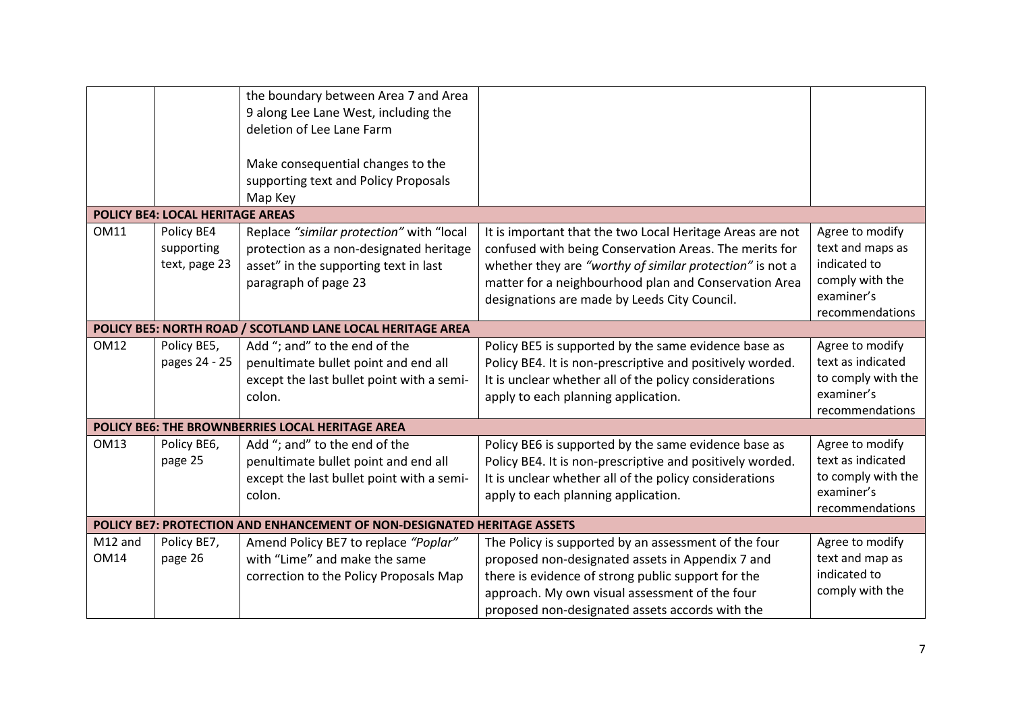|             |                                  | the boundary between Area 7 and Area                                     |                                                           |                    |
|-------------|----------------------------------|--------------------------------------------------------------------------|-----------------------------------------------------------|--------------------|
|             |                                  | 9 along Lee Lane West, including the                                     |                                                           |                    |
|             |                                  | deletion of Lee Lane Farm                                                |                                                           |                    |
|             |                                  |                                                                          |                                                           |                    |
|             |                                  | Make consequential changes to the                                        |                                                           |                    |
|             |                                  | supporting text and Policy Proposals                                     |                                                           |                    |
|             |                                  | Map Key                                                                  |                                                           |                    |
|             | POLICY BE4: LOCAL HERITAGE AREAS |                                                                          |                                                           |                    |
| <b>OM11</b> | Policy BE4                       | Replace "similar protection" with "local                                 | It is important that the two Local Heritage Areas are not | Agree to modify    |
|             | supporting                       |                                                                          |                                                           | text and maps as   |
|             | text, page 23                    | protection as a non-designated heritage                                  | confused with being Conservation Areas. The merits for    | indicated to       |
|             |                                  | asset" in the supporting text in last                                    | whether they are "worthy of similar protection" is not a  | comply with the    |
|             |                                  | paragraph of page 23                                                     | matter for a neighbourhood plan and Conservation Area     | examiner's         |
|             |                                  |                                                                          | designations are made by Leeds City Council.              | recommendations    |
|             |                                  | POLICY BE5: NORTH ROAD / SCOTLAND LANE LOCAL HERITAGE AREA               |                                                           |                    |
|             |                                  |                                                                          |                                                           |                    |
| <b>OM12</b> | Policy BE5,                      | Add "; and" to the end of the                                            | Policy BE5 is supported by the same evidence base as      | Agree to modify    |
|             | pages 24 - 25                    | penultimate bullet point and end all                                     | Policy BE4. It is non-prescriptive and positively worded. | text as indicated  |
|             |                                  | except the last bullet point with a semi-                                | It is unclear whether all of the policy considerations    | to comply with the |
|             |                                  | colon.                                                                   | apply to each planning application.                       | examiner's         |
|             |                                  |                                                                          |                                                           | recommendations    |
|             |                                  | POLICY BE6: THE BROWNBERRIES LOCAL HERITAGE AREA                         |                                                           |                    |
| <b>OM13</b> | Policy BE6,                      | Add "; and" to the end of the                                            | Policy BE6 is supported by the same evidence base as      | Agree to modify    |
|             | page 25                          | penultimate bullet point and end all                                     | Policy BE4. It is non-prescriptive and positively worded. | text as indicated  |
|             |                                  | except the last bullet point with a semi-                                | It is unclear whether all of the policy considerations    | to comply with the |
|             |                                  | colon.                                                                   | apply to each planning application.                       | examiner's         |
|             |                                  |                                                                          |                                                           | recommendations    |
|             |                                  | POLICY BE7: PROTECTION AND ENHANCEMENT OF NON-DESIGNATED HERITAGE ASSETS |                                                           |                    |
| M12 and     | Policy BE7,                      | Amend Policy BE7 to replace "Poplar"                                     | The Policy is supported by an assessment of the four      | Agree to modify    |
| <b>OM14</b> | page 26                          | with "Lime" and make the same                                            | proposed non-designated assets in Appendix 7 and          | text and map as    |
|             |                                  | correction to the Policy Proposals Map                                   | there is evidence of strong public support for the        | indicated to       |
|             |                                  |                                                                          | approach. My own visual assessment of the four            | comply with the    |
|             |                                  |                                                                          | proposed non-designated assets accords with the           |                    |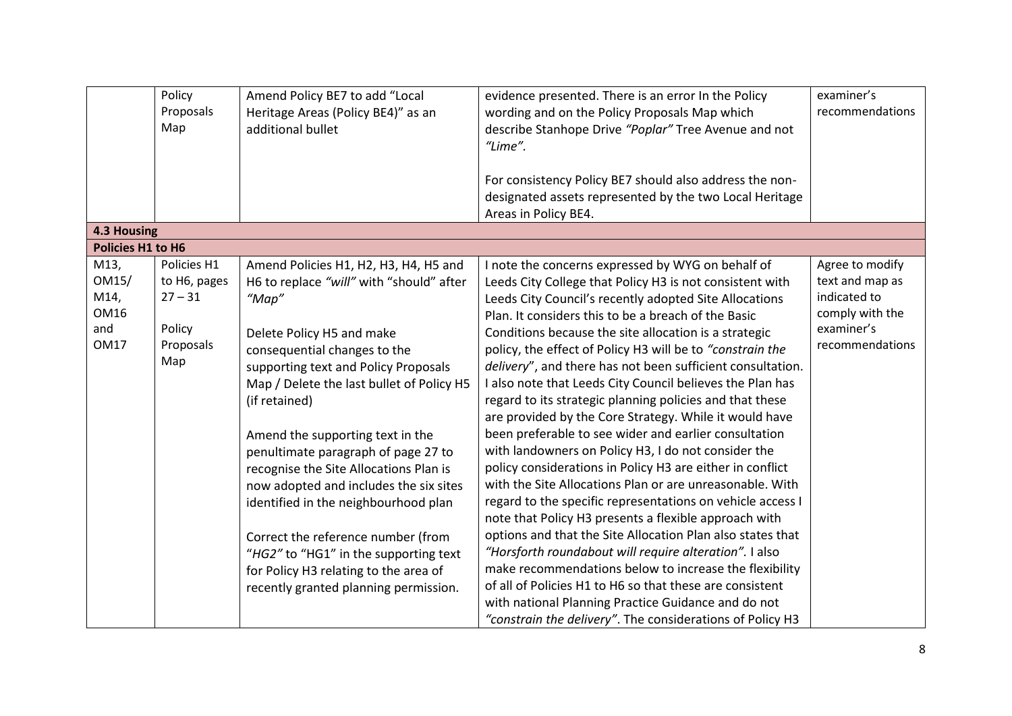|                          | Policy       | Amend Policy BE7 to add "Local            | evidence presented. There is an error In the Policy        | examiner's      |
|--------------------------|--------------|-------------------------------------------|------------------------------------------------------------|-----------------|
|                          | Proposals    | Heritage Areas (Policy BE4)" as an        | wording and on the Policy Proposals Map which              | recommendations |
|                          | Map          | additional bullet                         | describe Stanhope Drive "Poplar" Tree Avenue and not       |                 |
|                          |              |                                           | "Lime".                                                    |                 |
|                          |              |                                           |                                                            |                 |
|                          |              |                                           | For consistency Policy BE7 should also address the non-    |                 |
|                          |              |                                           | designated assets represented by the two Local Heritage    |                 |
|                          |              |                                           | Areas in Policy BE4.                                       |                 |
| <b>4.3 Housing</b>       |              |                                           |                                                            |                 |
| <b>Policies H1 to H6</b> |              |                                           |                                                            |                 |
| M13,                     | Policies H1  | Amend Policies H1, H2, H3, H4, H5 and     | I note the concerns expressed by WYG on behalf of          | Agree to modify |
| OM15/                    | to H6, pages | H6 to replace "will" with "should" after  | Leeds City College that Policy H3 is not consistent with   | text and map as |
| M14,                     | $27 - 31$    | " $Map"$                                  | Leeds City Council's recently adopted Site Allocations     | indicated to    |
| OM16                     |              |                                           | Plan. It considers this to be a breach of the Basic        | comply with the |
| and                      | Policy       | Delete Policy H5 and make                 | Conditions because the site allocation is a strategic      | examiner's      |
| <b>OM17</b>              | Proposals    | consequential changes to the              | policy, the effect of Policy H3 will be to "constrain the  | recommendations |
|                          | Map          | supporting text and Policy Proposals      | delivery", and there has not been sufficient consultation. |                 |
|                          |              | Map / Delete the last bullet of Policy H5 | I also note that Leeds City Council believes the Plan has  |                 |
|                          |              | (if retained)                             | regard to its strategic planning policies and that these   |                 |
|                          |              |                                           | are provided by the Core Strategy. While it would have     |                 |
|                          |              | Amend the supporting text in the          | been preferable to see wider and earlier consultation      |                 |
|                          |              | penultimate paragraph of page 27 to       | with landowners on Policy H3, I do not consider the        |                 |
|                          |              | recognise the Site Allocations Plan is    | policy considerations in Policy H3 are either in conflict  |                 |
|                          |              | now adopted and includes the six sites    | with the Site Allocations Plan or are unreasonable. With   |                 |
|                          |              | identified in the neighbourhood plan      | regard to the specific representations on vehicle access I |                 |
|                          |              |                                           | note that Policy H3 presents a flexible approach with      |                 |
|                          |              | Correct the reference number (from        | options and that the Site Allocation Plan also states that |                 |
|                          |              | "HG2" to "HG1" in the supporting text     | "Horsforth roundabout will require alteration". I also     |                 |
|                          |              | for Policy H3 relating to the area of     | make recommendations below to increase the flexibility     |                 |
|                          |              | recently granted planning permission.     | of all of Policies H1 to H6 so that these are consistent   |                 |
|                          |              |                                           | with national Planning Practice Guidance and do not        |                 |
|                          |              |                                           | "constrain the delivery". The considerations of Policy H3  |                 |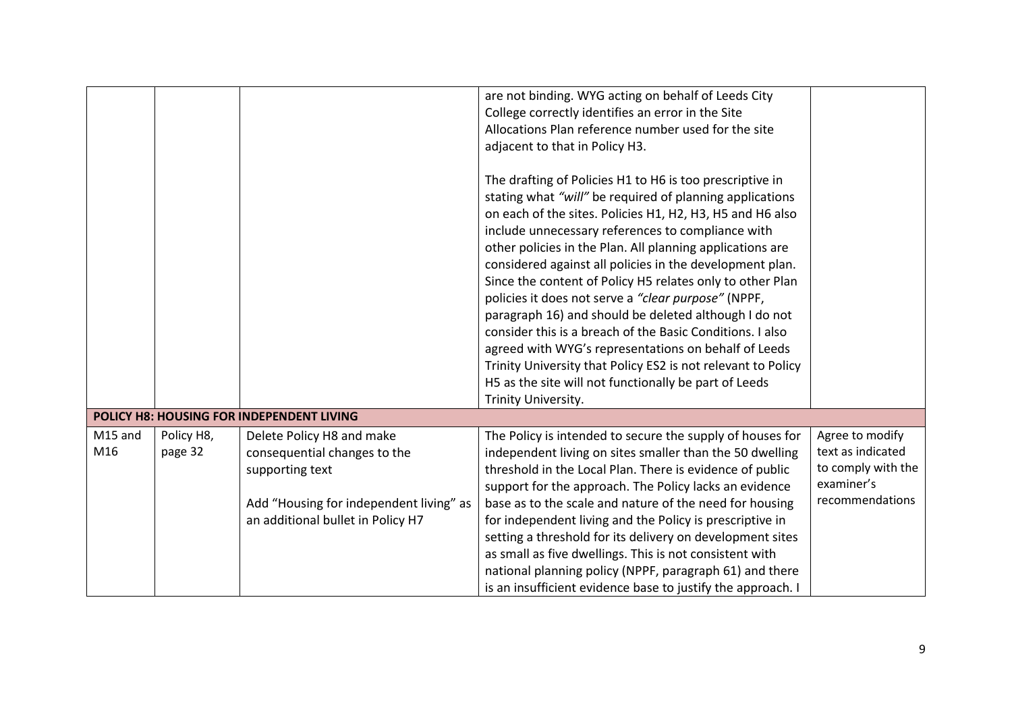|         |            |                                           | are not binding. WYG acting on behalf of Leeds City          |                    |
|---------|------------|-------------------------------------------|--------------------------------------------------------------|--------------------|
|         |            |                                           | College correctly identifies an error in the Site            |                    |
|         |            |                                           | Allocations Plan reference number used for the site          |                    |
|         |            |                                           | adjacent to that in Policy H3.                               |                    |
|         |            |                                           |                                                              |                    |
|         |            |                                           | The drafting of Policies H1 to H6 is too prescriptive in     |                    |
|         |            |                                           | stating what "will" be required of planning applications     |                    |
|         |            |                                           | on each of the sites. Policies H1, H2, H3, H5 and H6 also    |                    |
|         |            |                                           | include unnecessary references to compliance with            |                    |
|         |            |                                           | other policies in the Plan. All planning applications are    |                    |
|         |            |                                           | considered against all policies in the development plan.     |                    |
|         |            |                                           | Since the content of Policy H5 relates only to other Plan    |                    |
|         |            |                                           | policies it does not serve a "clear purpose" (NPPF,          |                    |
|         |            |                                           | paragraph 16) and should be deleted although I do not        |                    |
|         |            |                                           | consider this is a breach of the Basic Conditions. I also    |                    |
|         |            |                                           | agreed with WYG's representations on behalf of Leeds         |                    |
|         |            |                                           | Trinity University that Policy ES2 is not relevant to Policy |                    |
|         |            |                                           | H5 as the site will not functionally be part of Leeds        |                    |
|         |            |                                           | Trinity University.                                          |                    |
|         |            | POLICY H8: HOUSING FOR INDEPENDENT LIVING |                                                              |                    |
|         |            |                                           |                                                              |                    |
| M15 and | Policy H8, | Delete Policy H8 and make                 | The Policy is intended to secure the supply of houses for    | Agree to modify    |
| M16     | page 32    | consequential changes to the              | independent living on sites smaller than the 50 dwelling     | text as indicated  |
|         |            | supporting text                           | threshold in the Local Plan. There is evidence of public     | to comply with the |
|         |            |                                           | support for the approach. The Policy lacks an evidence       | examiner's         |
|         |            | Add "Housing for independent living" as   | base as to the scale and nature of the need for housing      | recommendations    |
|         |            | an additional bullet in Policy H7         | for independent living and the Policy is prescriptive in     |                    |
|         |            |                                           | setting a threshold for its delivery on development sites    |                    |
|         |            |                                           | as small as five dwellings. This is not consistent with      |                    |
|         |            |                                           | national planning policy (NPPF, paragraph 61) and there      |                    |
|         |            |                                           | is an insufficient evidence base to justify the approach. I  |                    |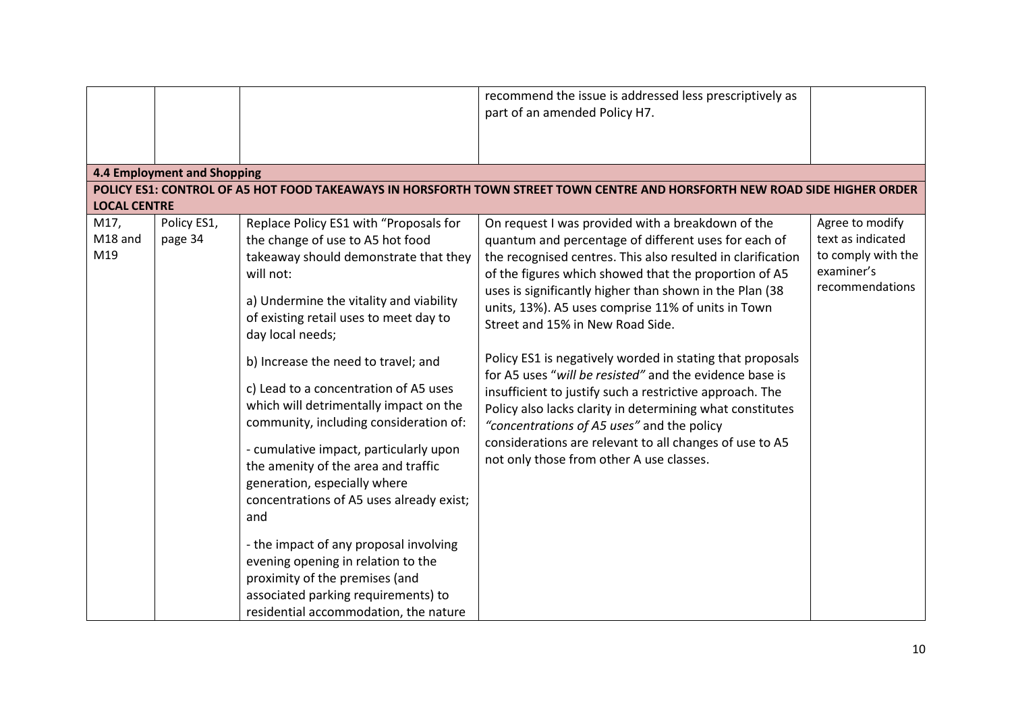|                                               |                             |                                                                                                                                                                                                                                                                                                                                                                                                              | recommend the issue is addressed less prescriptively as<br>part of an amended Policy H7.                                                                                                                                                                                                                                                                                                                                                                                                                                                                                                                                                |                                                                                             |
|-----------------------------------------------|-----------------------------|--------------------------------------------------------------------------------------------------------------------------------------------------------------------------------------------------------------------------------------------------------------------------------------------------------------------------------------------------------------------------------------------------------------|-----------------------------------------------------------------------------------------------------------------------------------------------------------------------------------------------------------------------------------------------------------------------------------------------------------------------------------------------------------------------------------------------------------------------------------------------------------------------------------------------------------------------------------------------------------------------------------------------------------------------------------------|---------------------------------------------------------------------------------------------|
|                                               | 4.4 Employment and Shopping |                                                                                                                                                                                                                                                                                                                                                                                                              |                                                                                                                                                                                                                                                                                                                                                                                                                                                                                                                                                                                                                                         |                                                                                             |
|                                               |                             |                                                                                                                                                                                                                                                                                                                                                                                                              | POLICY ES1: CONTROL OF A5 HOT FOOD TAKEAWAYS IN HORSFORTH TOWN STREET TOWN CENTRE AND HORSFORTH NEW ROAD SIDE HIGHER ORDER                                                                                                                                                                                                                                                                                                                                                                                                                                                                                                              |                                                                                             |
| <b>LOCAL CENTRE</b><br>M17,<br>M18 and<br>M19 | Policy ES1,<br>page 34      | Replace Policy ES1 with "Proposals for<br>the change of use to A5 hot food<br>takeaway should demonstrate that they<br>will not:<br>a) Undermine the vitality and viability<br>of existing retail uses to meet day to<br>day local needs;<br>b) Increase the need to travel; and<br>c) Lead to a concentration of A5 uses<br>which will detrimentally impact on the                                          | On request I was provided with a breakdown of the<br>quantum and percentage of different uses for each of<br>the recognised centres. This also resulted in clarification<br>of the figures which showed that the proportion of A5<br>uses is significantly higher than shown in the Plan (38<br>units, 13%). A5 uses comprise 11% of units in Town<br>Street and 15% in New Road Side.<br>Policy ES1 is negatively worded in stating that proposals<br>for A5 uses "will be resisted" and the evidence base is<br>insufficient to justify such a restrictive approach. The<br>Policy also lacks clarity in determining what constitutes | Agree to modify<br>text as indicated<br>to comply with the<br>examiner's<br>recommendations |
|                                               |                             | community, including consideration of:<br>- cumulative impact, particularly upon<br>the amenity of the area and traffic<br>generation, especially where<br>concentrations of A5 uses already exist;<br>and<br>- the impact of any proposal involving<br>evening opening in relation to the<br>proximity of the premises (and<br>associated parking requirements) to<br>residential accommodation, the nature | "concentrations of A5 uses" and the policy<br>considerations are relevant to all changes of use to A5<br>not only those from other A use classes.                                                                                                                                                                                                                                                                                                                                                                                                                                                                                       |                                                                                             |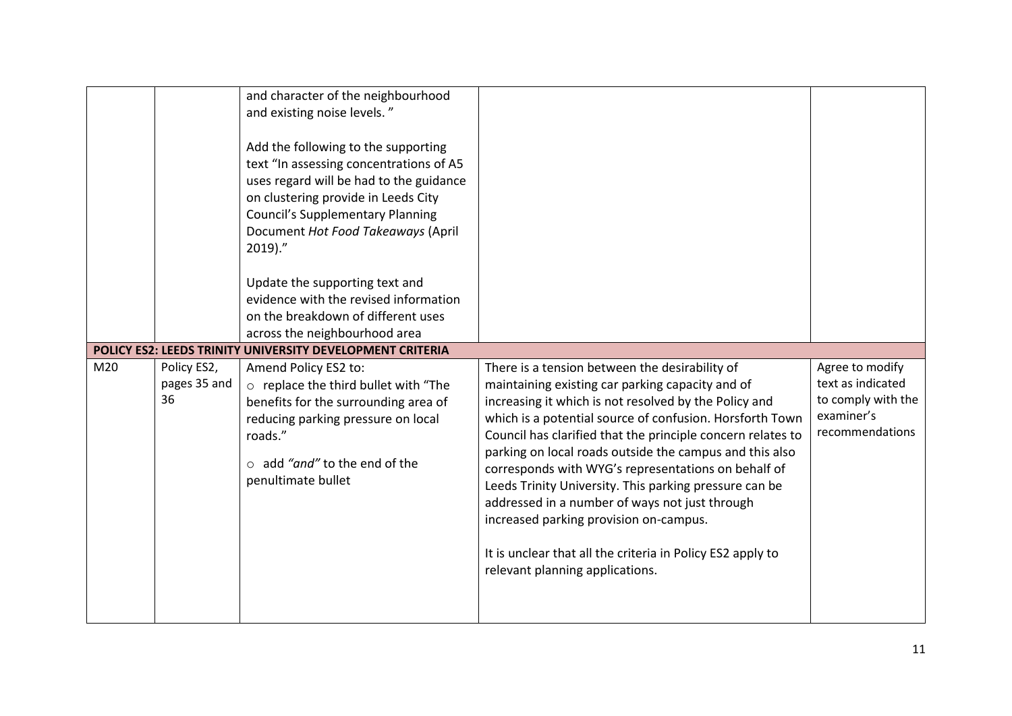|     |                                   | and character of the neighbourhood<br>and existing noise levels."<br>Add the following to the supporting<br>text "In assessing concentrations of A5<br>uses regard will be had to the guidance<br>on clustering provide in Leeds City<br><b>Council's Supplementary Planning</b><br>Document Hot Food Takeaways (April<br>$2019$ ."<br>Update the supporting text and<br>evidence with the revised information<br>on the breakdown of different uses<br>across the neighbourhood area |                                                                                                                                                                                                                                                                                                                                                                                                                                                                                                                                                                                                                                                                 |                                                                                             |
|-----|-----------------------------------|---------------------------------------------------------------------------------------------------------------------------------------------------------------------------------------------------------------------------------------------------------------------------------------------------------------------------------------------------------------------------------------------------------------------------------------------------------------------------------------|-----------------------------------------------------------------------------------------------------------------------------------------------------------------------------------------------------------------------------------------------------------------------------------------------------------------------------------------------------------------------------------------------------------------------------------------------------------------------------------------------------------------------------------------------------------------------------------------------------------------------------------------------------------------|---------------------------------------------------------------------------------------------|
|     |                                   | POLICY ES2: LEEDS TRINITY UNIVERSITY DEVELOPMENT CRITERIA                                                                                                                                                                                                                                                                                                                                                                                                                             |                                                                                                                                                                                                                                                                                                                                                                                                                                                                                                                                                                                                                                                                 |                                                                                             |
| M20 | Policy ES2,<br>pages 35 and<br>36 | Amend Policy ES2 to:<br>o replace the third bullet with "The<br>benefits for the surrounding area of<br>reducing parking pressure on local<br>roads."<br>$\circ$ add "and" to the end of the<br>penultimate bullet                                                                                                                                                                                                                                                                    | There is a tension between the desirability of<br>maintaining existing car parking capacity and of<br>increasing it which is not resolved by the Policy and<br>which is a potential source of confusion. Horsforth Town<br>Council has clarified that the principle concern relates to<br>parking on local roads outside the campus and this also<br>corresponds with WYG's representations on behalf of<br>Leeds Trinity University. This parking pressure can be<br>addressed in a number of ways not just through<br>increased parking provision on-campus.<br>It is unclear that all the criteria in Policy ES2 apply to<br>relevant planning applications. | Agree to modify<br>text as indicated<br>to comply with the<br>examiner's<br>recommendations |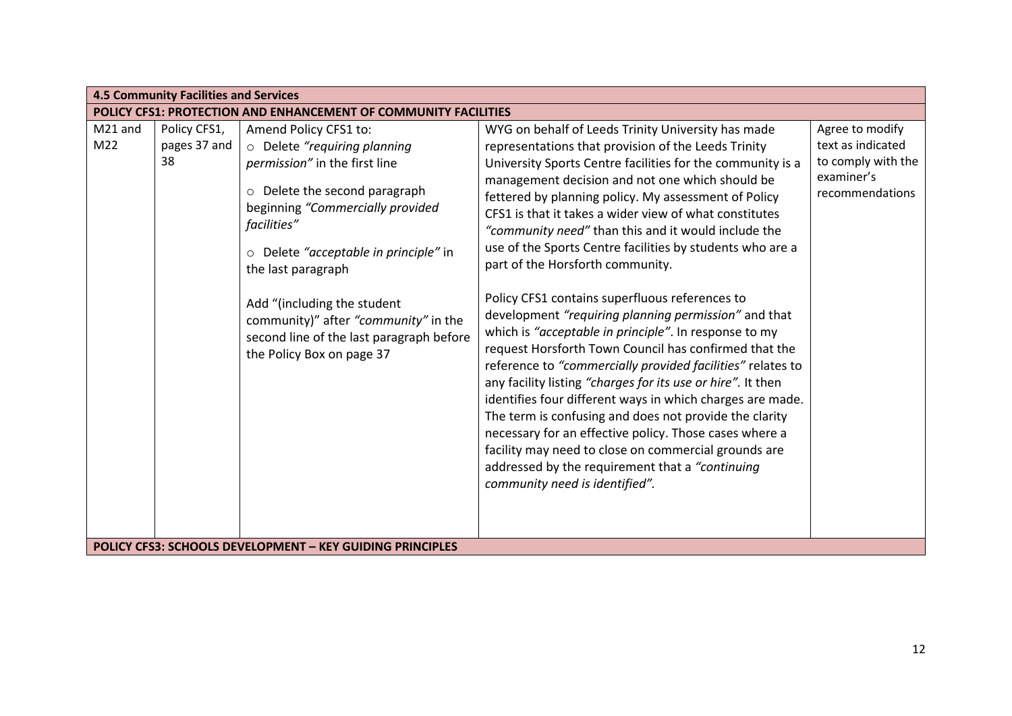|                | <b>4.5 Community Facilities and Services</b> |                                                                                                                                                                                                                                                                                                                                                                                           |                                                                                                                                                                                                                                                                                                                                                                                                                                                                                                                                                                                                                                                                                                                                                                                                                                                                                                                                                                                                                                                                                                                                                                                             |                                                                                             |  |  |
|----------------|----------------------------------------------|-------------------------------------------------------------------------------------------------------------------------------------------------------------------------------------------------------------------------------------------------------------------------------------------------------------------------------------------------------------------------------------------|---------------------------------------------------------------------------------------------------------------------------------------------------------------------------------------------------------------------------------------------------------------------------------------------------------------------------------------------------------------------------------------------------------------------------------------------------------------------------------------------------------------------------------------------------------------------------------------------------------------------------------------------------------------------------------------------------------------------------------------------------------------------------------------------------------------------------------------------------------------------------------------------------------------------------------------------------------------------------------------------------------------------------------------------------------------------------------------------------------------------------------------------------------------------------------------------|---------------------------------------------------------------------------------------------|--|--|
|                |                                              | <b>POLICY CFS1: PROTECTION AND ENHANCEMENT OF COMMUNITY FACILITIES</b>                                                                                                                                                                                                                                                                                                                    |                                                                                                                                                                                                                                                                                                                                                                                                                                                                                                                                                                                                                                                                                                                                                                                                                                                                                                                                                                                                                                                                                                                                                                                             |                                                                                             |  |  |
| M21 and<br>M22 | Policy CFS1,<br>pages 37 and<br>38           | Amend Policy CFS1 to:<br>o Delete "requiring planning<br>permission" in the first line<br>o Delete the second paragraph<br>beginning "Commercially provided<br>facilities"<br>o Delete "acceptable in principle" in<br>the last paragraph<br>Add "(including the student<br>community)" after "community" in the<br>second line of the last paragraph before<br>the Policy Box on page 37 | WYG on behalf of Leeds Trinity University has made<br>representations that provision of the Leeds Trinity<br>University Sports Centre facilities for the community is a<br>management decision and not one which should be<br>fettered by planning policy. My assessment of Policy<br>CFS1 is that it takes a wider view of what constitutes<br>"community need" than this and it would include the<br>use of the Sports Centre facilities by students who are a<br>part of the Horsforth community.<br>Policy CFS1 contains superfluous references to<br>development "requiring planning permission" and that<br>which is "acceptable in principle". In response to my<br>request Horsforth Town Council has confirmed that the<br>reference to "commercially provided facilities" relates to<br>any facility listing "charges for its use or hire". It then<br>identifies four different ways in which charges are made.<br>The term is confusing and does not provide the clarity<br>necessary for an effective policy. Those cases where a<br>facility may need to close on commercial grounds are<br>addressed by the requirement that a "continuing<br>community need is identified". | Agree to modify<br>text as indicated<br>to comply with the<br>examiner's<br>recommendations |  |  |
|                |                                              | <b>POLICY CFS3: SCHOOLS DEVELOPMENT - KEY GUIDING PRINCIPLES</b>                                                                                                                                                                                                                                                                                                                          |                                                                                                                                                                                                                                                                                                                                                                                                                                                                                                                                                                                                                                                                                                                                                                                                                                                                                                                                                                                                                                                                                                                                                                                             |                                                                                             |  |  |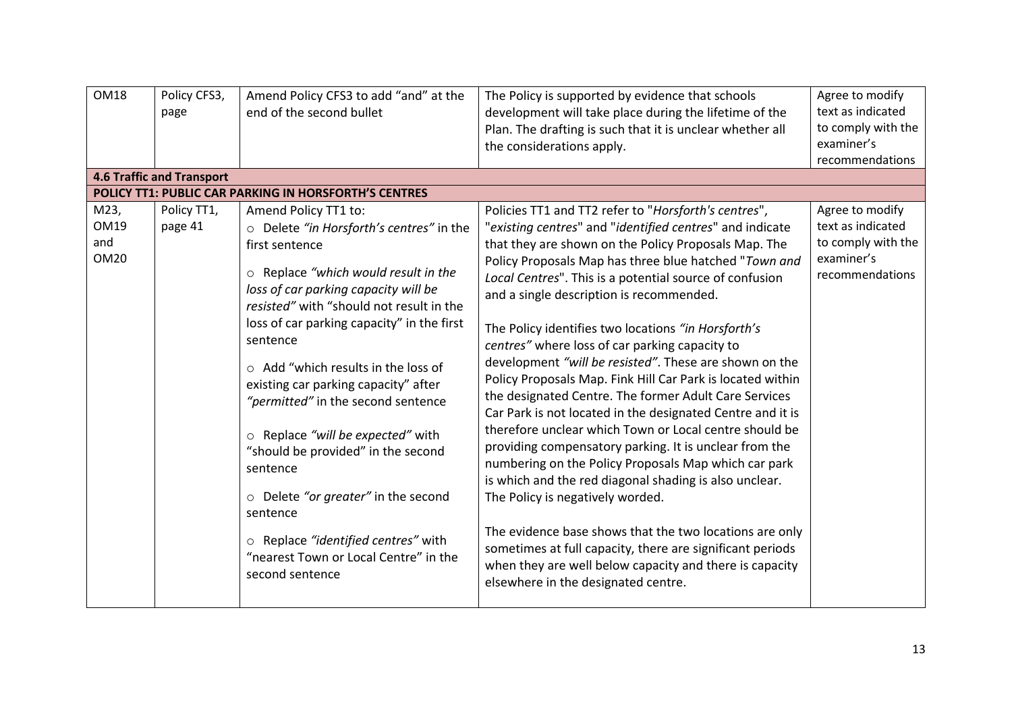| <b>OM18</b>                               | Policy CFS3,<br>page<br><b>4.6 Traffic and Transport</b> | Amend Policy CFS3 to add "and" at the<br>end of the second bullet                                                                                                                                                                                                                                                                                                                                                                                                                                                                                                                                                                                      | The Policy is supported by evidence that schools<br>development will take place during the lifetime of the<br>Plan. The drafting is such that it is unclear whether all<br>the considerations apply.                                                                                                                                                                                                                                                                                                                                                                                                                                                                                                                                                                                                                                                                                                                                                                                                                                                                                                                                                          | Agree to modify<br>text as indicated<br>to comply with the<br>examiner's<br>recommendations |
|-------------------------------------------|----------------------------------------------------------|--------------------------------------------------------------------------------------------------------------------------------------------------------------------------------------------------------------------------------------------------------------------------------------------------------------------------------------------------------------------------------------------------------------------------------------------------------------------------------------------------------------------------------------------------------------------------------------------------------------------------------------------------------|---------------------------------------------------------------------------------------------------------------------------------------------------------------------------------------------------------------------------------------------------------------------------------------------------------------------------------------------------------------------------------------------------------------------------------------------------------------------------------------------------------------------------------------------------------------------------------------------------------------------------------------------------------------------------------------------------------------------------------------------------------------------------------------------------------------------------------------------------------------------------------------------------------------------------------------------------------------------------------------------------------------------------------------------------------------------------------------------------------------------------------------------------------------|---------------------------------------------------------------------------------------------|
|                                           |                                                          | POLICY TT1: PUBLIC CAR PARKING IN HORSFORTH'S CENTRES                                                                                                                                                                                                                                                                                                                                                                                                                                                                                                                                                                                                  |                                                                                                                                                                                                                                                                                                                                                                                                                                                                                                                                                                                                                                                                                                                                                                                                                                                                                                                                                                                                                                                                                                                                                               |                                                                                             |
| M23,<br><b>OM19</b><br>and<br><b>OM20</b> | Policy TT1,<br>page 41                                   | Amend Policy TT1 to:<br>○ Delete "in Horsforth's centres" in the<br>first sentence<br>○ Replace "which would result in the<br>loss of car parking capacity will be<br>resisted" with "should not result in the<br>loss of car parking capacity" in the first<br>sentence<br>$\circ$ Add "which results in the loss of<br>existing car parking capacity" after<br>"permitted" in the second sentence<br>o Replace "will be expected" with<br>"should be provided" in the second<br>sentence<br>$\circ$ Delete "or greater" in the second<br>sentence<br>o Replace "identified centres" with<br>"nearest Town or Local Centre" in the<br>second sentence | Policies TT1 and TT2 refer to "Horsforth's centres",<br>"existing centres" and "identified centres" and indicate<br>that they are shown on the Policy Proposals Map. The<br>Policy Proposals Map has three blue hatched "Town and<br>Local Centres". This is a potential source of confusion<br>and a single description is recommended.<br>The Policy identifies two locations "in Horsforth's<br>centres" where loss of car parking capacity to<br>development "will be resisted". These are shown on the<br>Policy Proposals Map. Fink Hill Car Park is located within<br>the designated Centre. The former Adult Care Services<br>Car Park is not located in the designated Centre and it is<br>therefore unclear which Town or Local centre should be<br>providing compensatory parking. It is unclear from the<br>numbering on the Policy Proposals Map which car park<br>is which and the red diagonal shading is also unclear.<br>The Policy is negatively worded.<br>The evidence base shows that the two locations are only<br>sometimes at full capacity, there are significant periods<br>when they are well below capacity and there is capacity | Agree to modify<br>text as indicated<br>to comply with the<br>examiner's<br>recommendations |
|                                           |                                                          |                                                                                                                                                                                                                                                                                                                                                                                                                                                                                                                                                                                                                                                        | elsewhere in the designated centre.                                                                                                                                                                                                                                                                                                                                                                                                                                                                                                                                                                                                                                                                                                                                                                                                                                                                                                                                                                                                                                                                                                                           |                                                                                             |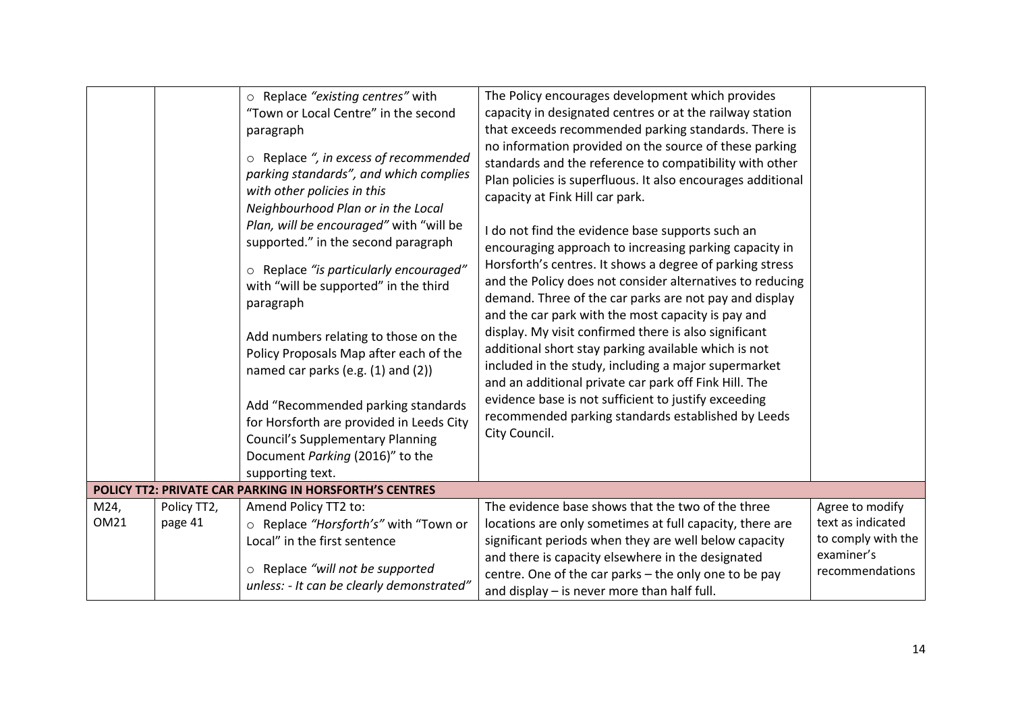|                     |                        | o Replace "existing centres" with<br>"Town or Local Centre" in the second<br>paragraph<br>o Replace ", in excess of recommended<br>parking standards", and which complies<br>with other policies in this<br>Neighbourhood Plan or in the Local<br>Plan, will be encouraged" with "will be<br>supported." in the second paragraph<br>o Replace "is particularly encouraged"<br>with "will be supported" in the third<br>paragraph<br>Add numbers relating to those on the<br>Policy Proposals Map after each of the<br>named car parks (e.g. (1) and (2))<br>Add "Recommended parking standards<br>for Horsforth are provided in Leeds City<br><b>Council's Supplementary Planning</b><br>Document Parking (2016)" to the<br>supporting text. | The Policy encourages development which provides<br>capacity in designated centres or at the railway station<br>that exceeds recommended parking standards. There is<br>no information provided on the source of these parking<br>standards and the reference to compatibility with other<br>Plan policies is superfluous. It also encourages additional<br>capacity at Fink Hill car park.<br>I do not find the evidence base supports such an<br>encouraging approach to increasing parking capacity in<br>Horsforth's centres. It shows a degree of parking stress<br>and the Policy does not consider alternatives to reducing<br>demand. Three of the car parks are not pay and display<br>and the car park with the most capacity is pay and<br>display. My visit confirmed there is also significant<br>additional short stay parking available which is not<br>included in the study, including a major supermarket<br>and an additional private car park off Fink Hill. The<br>evidence base is not sufficient to justify exceeding<br>recommended parking standards established by Leeds<br>City Council. |                                                                                             |
|---------------------|------------------------|----------------------------------------------------------------------------------------------------------------------------------------------------------------------------------------------------------------------------------------------------------------------------------------------------------------------------------------------------------------------------------------------------------------------------------------------------------------------------------------------------------------------------------------------------------------------------------------------------------------------------------------------------------------------------------------------------------------------------------------------|---------------------------------------------------------------------------------------------------------------------------------------------------------------------------------------------------------------------------------------------------------------------------------------------------------------------------------------------------------------------------------------------------------------------------------------------------------------------------------------------------------------------------------------------------------------------------------------------------------------------------------------------------------------------------------------------------------------------------------------------------------------------------------------------------------------------------------------------------------------------------------------------------------------------------------------------------------------------------------------------------------------------------------------------------------------------------------------------------------------------|---------------------------------------------------------------------------------------------|
|                     |                        | POLICY TT2: PRIVATE CAR PARKING IN HORSFORTH'S CENTRES                                                                                                                                                                                                                                                                                                                                                                                                                                                                                                                                                                                                                                                                                       |                                                                                                                                                                                                                                                                                                                                                                                                                                                                                                                                                                                                                                                                                                                                                                                                                                                                                                                                                                                                                                                                                                                     |                                                                                             |
| M24,<br><b>OM21</b> | Policy TT2,<br>page 41 | Amend Policy TT2 to:<br>○ Replace "Horsforth's" with "Town or<br>Local" in the first sentence<br>o Replace "will not be supported<br>unless: - It can be clearly demonstrated"                                                                                                                                                                                                                                                                                                                                                                                                                                                                                                                                                               | The evidence base shows that the two of the three<br>locations are only sometimes at full capacity, there are<br>significant periods when they are well below capacity<br>and there is capacity elsewhere in the designated<br>centre. One of the car parks - the only one to be pay<br>and display $-$ is never more than half full.                                                                                                                                                                                                                                                                                                                                                                                                                                                                                                                                                                                                                                                                                                                                                                               | Agree to modify<br>text as indicated<br>to comply with the<br>examiner's<br>recommendations |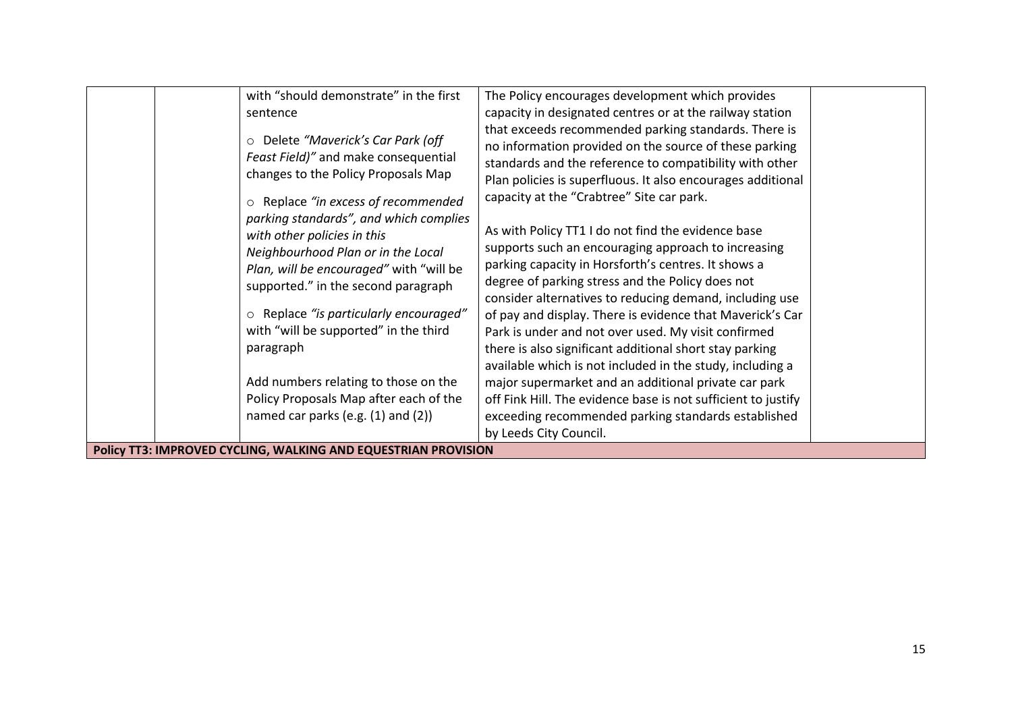| with "should demonstrate" in the first<br>sentence<br>Delete "Maverick's Car Park (off<br>$\circ$<br>Feast Field)" and make consequential<br>changes to the Policy Proposals Map<br>Replace "in excess of recommended<br>$\circ$<br>parking standards", and which complies<br>with other policies in this<br>Neighbourhood Plan or in the Local<br>Plan, will be encouraged" with "will be<br>supported." in the second paragraph<br>Replace "is particularly encouraged"<br>O<br>with "will be supported" in the third<br>paragraph<br>Add numbers relating to those on the<br>Policy Proposals Map after each of the<br>named car parks (e.g. $(1)$ and $(2)$ ) | The Policy encourages development which provides<br>capacity in designated centres or at the railway station<br>that exceeds recommended parking standards. There is<br>no information provided on the source of these parking<br>standards and the reference to compatibility with other<br>Plan policies is superfluous. It also encourages additional<br>capacity at the "Crabtree" Site car park.<br>As with Policy TT1 I do not find the evidence base<br>supports such an encouraging approach to increasing<br>parking capacity in Horsforth's centres. It shows a<br>degree of parking stress and the Policy does not<br>consider alternatives to reducing demand, including use<br>of pay and display. There is evidence that Maverick's Car<br>Park is under and not over used. My visit confirmed<br>there is also significant additional short stay parking<br>available which is not included in the study, including a<br>major supermarket and an additional private car park<br>off Fink Hill. The evidence base is not sufficient to justify<br>exceeding recommended parking standards established |  |
|-------------------------------------------------------------------------------------------------------------------------------------------------------------------------------------------------------------------------------------------------------------------------------------------------------------------------------------------------------------------------------------------------------------------------------------------------------------------------------------------------------------------------------------------------------------------------------------------------------------------------------------------------------------------|----------------------------------------------------------------------------------------------------------------------------------------------------------------------------------------------------------------------------------------------------------------------------------------------------------------------------------------------------------------------------------------------------------------------------------------------------------------------------------------------------------------------------------------------------------------------------------------------------------------------------------------------------------------------------------------------------------------------------------------------------------------------------------------------------------------------------------------------------------------------------------------------------------------------------------------------------------------------------------------------------------------------------------------------------------------------------------------------------------------------|--|
| Policy TT3: IMPROVED CYCLING, WALKING AND EQUESTRIAN PROVISION                                                                                                                                                                                                                                                                                                                                                                                                                                                                                                                                                                                                    | by Leeds City Council.                                                                                                                                                                                                                                                                                                                                                                                                                                                                                                                                                                                                                                                                                                                                                                                                                                                                                                                                                                                                                                                                                               |  |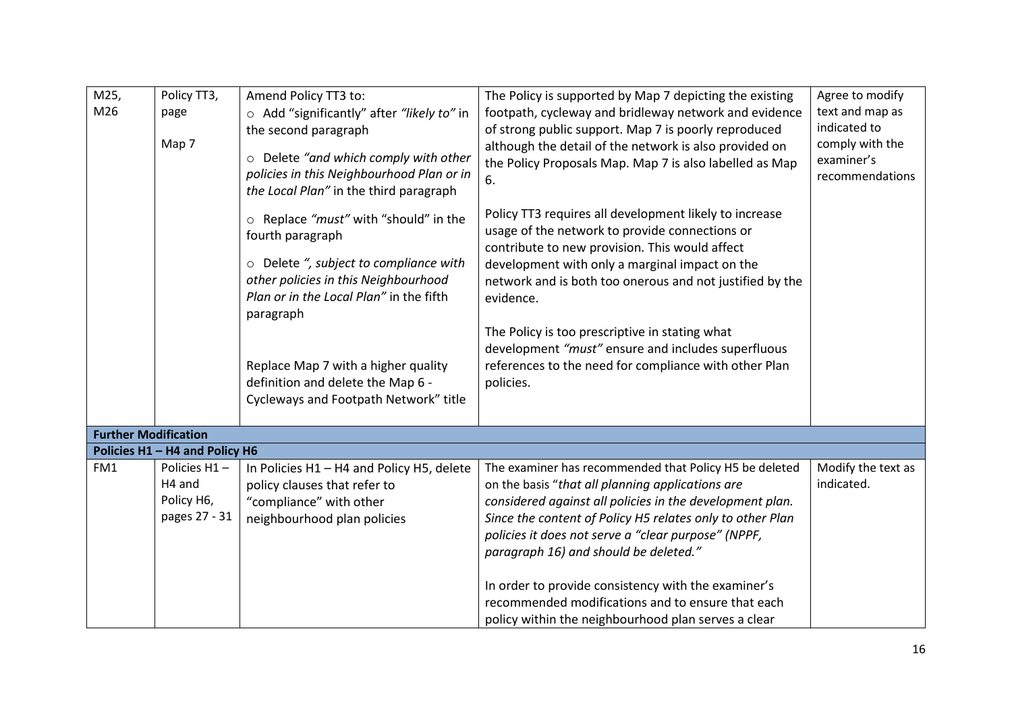| M25,                        | Policy TT3,                    | Amend Policy TT3 to:                       | The Policy is supported by Map 7 depicting the existing                                              | Agree to modify    |
|-----------------------------|--------------------------------|--------------------------------------------|------------------------------------------------------------------------------------------------------|--------------------|
| M26                         | page                           | ○ Add "significantly" after "likely to" in | footpath, cycleway and bridleway network and evidence                                                | text and map as    |
|                             |                                | the second paragraph                       | of strong public support. Map 7 is poorly reproduced                                                 | indicated to       |
|                             | Map 7                          |                                            | although the detail of the network is also provided on                                               | comply with the    |
|                             |                                | o Delete "and which comply with other      | the Policy Proposals Map. Map 7 is also labelled as Map                                              | examiner's         |
|                             |                                | policies in this Neighbourhood Plan or in  | 6.                                                                                                   | recommendations    |
|                             |                                | the Local Plan" in the third paragraph     |                                                                                                      |                    |
|                             |                                |                                            | Policy TT3 requires all development likely to increase                                               |                    |
|                             |                                | ○ Replace "must" with "should" in the      | usage of the network to provide connections or                                                       |                    |
|                             |                                | fourth paragraph                           | contribute to new provision. This would affect                                                       |                    |
|                             |                                | ○ Delete ", subject to compliance with     | development with only a marginal impact on the                                                       |                    |
|                             |                                | other policies in this Neighbourhood       | network and is both too onerous and not justified by the                                             |                    |
|                             |                                | Plan or in the Local Plan" in the fifth    | evidence.                                                                                            |                    |
|                             |                                | paragraph                                  |                                                                                                      |                    |
|                             |                                |                                            |                                                                                                      |                    |
|                             |                                |                                            | The Policy is too prescriptive in stating what<br>development "must" ensure and includes superfluous |                    |
|                             |                                |                                            |                                                                                                      |                    |
|                             |                                | Replace Map 7 with a higher quality        | references to the need for compliance with other Plan                                                |                    |
|                             |                                | definition and delete the Map 6 -          | policies.                                                                                            |                    |
|                             |                                | Cycleways and Footpath Network" title      |                                                                                                      |                    |
|                             |                                |                                            |                                                                                                      |                    |
| <b>Further Modification</b> |                                |                                            |                                                                                                      |                    |
|                             | Policies H1 - H4 and Policy H6 |                                            |                                                                                                      |                    |
| FM1                         | Policies H1-                   | In Policies H1 - H4 and Policy H5, delete  | The examiner has recommended that Policy H5 be deleted                                               | Modify the text as |
|                             | H <sub>4</sub> and             | policy clauses that refer to               | on the basis "that all planning applications are                                                     | indicated.         |
|                             | Policy H6,                     | "compliance" with other                    | considered against all policies in the development plan.                                             |                    |
|                             | pages 27 - 31                  | neighbourhood plan policies                | Since the content of Policy H5 relates only to other Plan                                            |                    |
|                             |                                |                                            | policies it does not serve a "clear purpose" (NPPF,                                                  |                    |
|                             |                                |                                            | paragraph 16) and should be deleted."                                                                |                    |
|                             |                                |                                            | In order to provide consistency with the examiner's                                                  |                    |
|                             |                                |                                            | recommended modifications and to ensure that each                                                    |                    |
|                             |                                |                                            | policy within the neighbourhood plan serves a clear                                                  |                    |